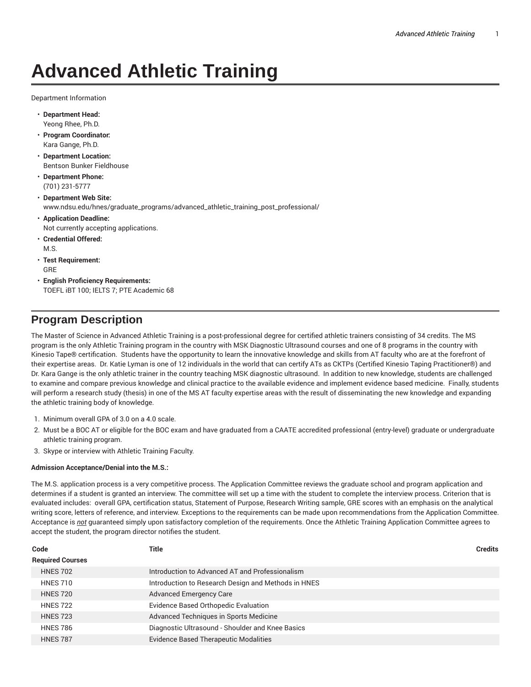## **Advanced Athletic Training**

Department Information

- **Department Head:** Yeong Rhee, Ph.D.
- **Program Coordinator:** Kara Gange, Ph.D.
- **Department Location:** Bentson Bunker Fieldhouse
- **Department Phone:** (701) 231-5777
- **Department Web Site:** www.ndsu.edu/hnes/graduate\_programs/advanced\_athletic\_training\_post\_professional/
- **Application Deadline:** Not currently accepting applications.
- **Credential Offered:** M.S.
- **Test Requirement:** GRE
- **English Proficiency Requirements:** TOEFL iBT 100; IELTS 7; PTE Academic 68

## **Program Description**

The Master of Science in Advanced Athletic Training is a post-professional degree for certified athletic trainers consisting of 34 credits. The MS program is the only Athletic Training program in the country with MSK Diagnostic Ultrasound courses and one of 8 programs in the country with Kinesio Tape® certification. Students have the opportunity to learn the innovative knowledge and skills from AT faculty who are at the forefront of their expertise areas. Dr. Katie Lyman is one of 12 individuals in the world that can certify ATs as CKTPs (Certified Kinesio Taping Practitioner®) and Dr. Kara Gange is the only athletic trainer in the country teaching MSK diagnostic ultrasound. In addition to new knowledge, students are challenged to examine and compare previous knowledge and clinical practice to the available evidence and implement evidence based medicine. Finally, students will perform a research study (thesis) in one of the MS AT faculty expertise areas with the result of disseminating the new knowledge and expanding the athletic training body of knowledge.

- 1. Minimum overall GPA of 3.0 on a 4.0 scale.
- 2. Must be a BOC AT or eligible for the BOC exam and have graduated from a CAATE accredited professional (entry-level) graduate or undergraduate athletic training program.
- 3. Skype or interview with Athletic Training Faculty.

## **Admission Acceptance/Denial into the M.S.:**

The M.S. application process is a very competitive process. The Application Committee reviews the graduate school and program application and determines if a student is granted an interview. The committee will set up a time with the student to complete the interview process. Criterion that is evaluated includes: overall GPA, certification status, Statement of Purpose, Research Writing sample, GRE scores with an emphasis on the analytical writing score, letters of reference, and interview. Exceptions to the requirements can be made upon recommendations from the Application Committee. Acceptance is *not* guaranteed simply upon satisfactory completion of the requirements. Once the Athletic Training Application Committee agrees to accept the student, the program director notifies the student.

| Code                    | Title                                               | <b>Credits</b> |
|-------------------------|-----------------------------------------------------|----------------|
| <b>Required Courses</b> |                                                     |                |
| <b>HNES 702</b>         | Introduction to Advanced AT and Professionalism     |                |
| <b>HNES 710</b>         | Introduction to Research Design and Methods in HNES |                |
| <b>HNES 720</b>         | <b>Advanced Emergency Care</b>                      |                |
| <b>HNES 722</b>         | Evidence Based Orthopedic Evaluation                |                |
| <b>HNES 723</b>         | Advanced Techniques in Sports Medicine              |                |
| <b>HNES 786</b>         | Diagnostic Ultrasound - Shoulder and Knee Basics    |                |
| <b>HNES 787</b>         | <b>Evidence Based Therapeutic Modalities</b>        |                |